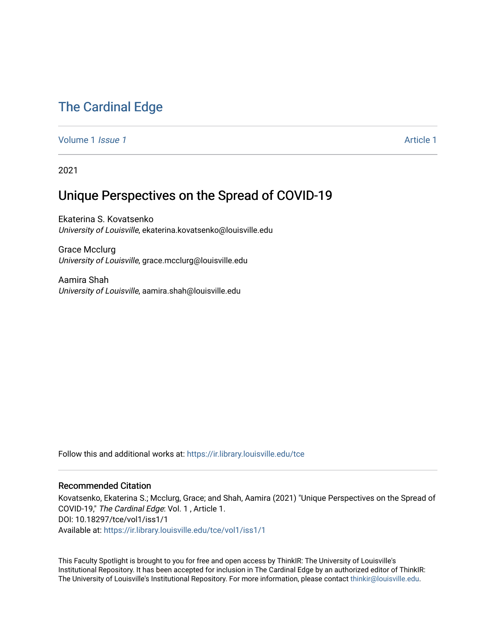## [The Cardinal Edge](https://ir.library.louisville.edu/tce)

[Volume 1](https://ir.library.louisville.edu/tce/vol1) *Issue 1* Article 1

2021

## Unique Perspectives on the Spread of COVID-19

Ekaterina S. Kovatsenko University of Louisville, ekaterina.kovatsenko@louisville.edu

Grace Mcclurg University of Louisville, grace.mcclurg@louisville.edu

Aamira Shah University of Louisville, aamira.shah@louisville.edu

Follow this and additional works at: [https://ir.library.louisville.edu/tce](https://ir.library.louisville.edu/tce?utm_source=ir.library.louisville.edu%2Ftce%2Fvol1%2Fiss1%2F1&utm_medium=PDF&utm_campaign=PDFCoverPages)

## Recommended Citation

Kovatsenko, Ekaterina S.; Mcclurg, Grace; and Shah, Aamira (2021) "Unique Perspectives on the Spread of COVID-19," The Cardinal Edge: Vol. 1 , Article 1. DOI: 10.18297/tce/vol1/iss1/1 Available at: [https://ir.library.louisville.edu/tce/vol1/iss1/1](https://ir.library.louisville.edu/tce/vol1/iss1/1?utm_source=ir.library.louisville.edu%2Ftce%2Fvol1%2Fiss1%2F1&utm_medium=PDF&utm_campaign=PDFCoverPages)

This Faculty Spotlight is brought to you for free and open access by ThinkIR: The University of Louisville's Institutional Repository. It has been accepted for inclusion in The Cardinal Edge by an authorized editor of ThinkIR: The University of Louisville's Institutional Repository. For more information, please contact [thinkir@louisville.edu.](mailto:thinkir@louisville.edu)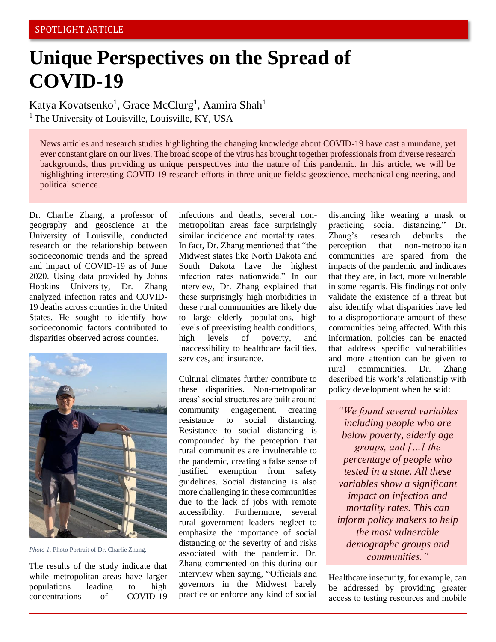## **Unique Perspectives on the Spread of COVID-19**

Katya Kovatsenko<sup>1</sup>, Grace McClurg<sup>1</sup>, Aamira Shah<sup>1</sup>  $<sup>1</sup>$  The University of Louisville, Louisville, KY, USA</sup>

News articles and research studies highlighting the changing knowledge about COVID-19 have cast a mundane, yet ever constant glare on our lives. The broad scope of the virus has brought together professionals from diverse research backgrounds, thus providing us unique perspectives into the nature of this pandemic. In this article, we will be highlighting interesting COVID-19 research efforts in three unique fields: geoscience, mechanical engineering, and political science.

Dr. Charlie Zhang, a professor of geography and geoscience at the University of Louisville, conducted research on the relationship between socioeconomic trends and the spread and impact of COVID-19 as of June 2020. Using data provided by Johns Hopkins University, Dr. Zhang analyzed infection rates and COVID-19 deaths across counties in the United States. He sought to identify how socioeconomic factors contributed to disparities observed across counties.



*Photo 1.* Photo Portrait of Dr. Charlie Zhang.

The results of the study indicate that while metropolitan areas have larger populations leading to high concentrations of COVID-19

infections and deaths, several nonmetropolitan areas face surprisingly similar incidence and mortality rates. In fact, Dr. Zhang mentioned that "the Midwest states like North Dakota and South Dakota have the highest infection rates nationwide." In our interview, Dr. Zhang explained that these surprisingly high morbidities in these rural communities are likely due to large elderly populations, high levels of preexisting health conditions, high levels of poverty, and inaccessibility to healthcare facilities, services, and insurance.

Cultural climates further contribute to these disparities. Non-metropolitan areas' social structures are built around community engagement, creating resistance to social distancing. Resistance to social distancing is compounded by the perception that rural communities are invulnerable to the pandemic, creating a false sense of justified exemption from safety guidelines. Social distancing is also more challenging in these communities due to the lack of jobs with remote accessibility. Furthermore, several rural government leaders neglect to emphasize the importance of social distancing or the severity of and risks associated with the pandemic. Dr. Zhang commented on this during our interview when saying, "Officials and governors in the Midwest barely practice or enforce any kind of social distancing like wearing a mask or practicing social distancing." Dr. Zhang's research debunks the perception that non-metropolitan communities are spared from the impacts of the pandemic and indicates that they are, in fact, more vulnerable in some regards. His findings not only validate the existence of a threat but also identify what disparities have led to a disproportionate amount of these communities being affected. With this information, policies can be enacted that address specific vulnerabilities and more attention can be given to rural communities. Dr. Zhang described his work's relationship with policy development when he said:

*"We found several variables including people who are below poverty, elderly age groups, and […] the percentage of people who tested in a state. All these variables show a significant impact on infection and mortality rates. This can inform policy makers to help the most vulnerable demographc groups and communities."*

Healthcare insecurity, for example, can be addressed by providing greater access to testing resources and mobile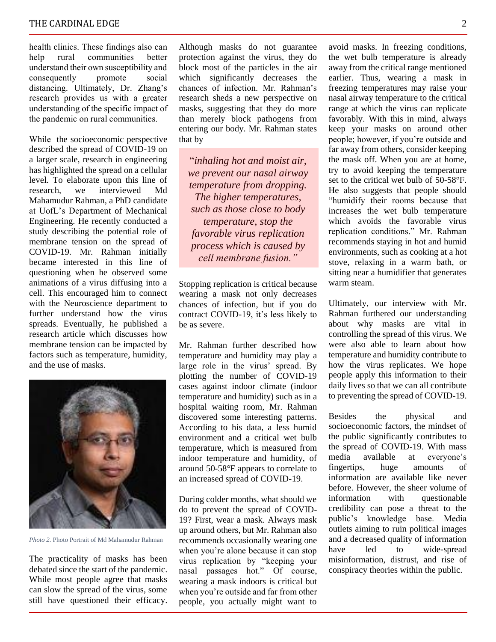health clinics. These findings also can help rural communities better understand their own susceptibility and consequently promote social distancing. Ultimately, Dr. Zhang's research provides us with a greater understanding of the specific impact of the pandemic on rural communities.

While the socioeconomic perspective described the spread of COVID-19 on a larger scale, research in engineering has highlighted the spread on a cellular level. To elaborate upon this line of research, we interviewed Md Mahamudur Rahman, a PhD candidate at UofL's Department of Mechanical Engineering. He recently conducted a study describing the potential role of membrane tension on the spread of COVID-19. Mr. Rahman initially became interested in this line of questioning when he observed some animations of a virus diffusing into a cell. This encouraged him to connect with the Neuroscience department to further understand how the virus spreads. Eventually, he published a research article which discusses how membrane tension can be impacted by factors such as temperature, humidity, and the use of masks.



*Photo 2.* Photo Portrait of Md Mahamudur Rahman

The practicality of masks has been debated since the start of the pandemic. While most people agree that masks can slow the spread of the virus, some still have questioned their efficacy. Although masks do not guarantee protection against the virus, they do block most of the particles in the air which significantly decreases the chances of infection. Mr. Rahman's research sheds a new perspective on masks, suggesting that they do more than merely block pathogens from entering our body. Mr. Rahman states that by

"*inhaling hot and moist air, we prevent our nasal airway temperature from dropping. The higher temperatures, such as those close to body temperature, stop the favorable virus replication process which is caused by cell membrane fusion."*

Stopping replication is critical because wearing a mask not only decreases chances of infection, but if you do contract COVID-19, it's less likely to be as severe.

Mr. Rahman further described how temperature and humidity may play a large role in the virus' spread. By plotting the number of COVID-19 cases against indoor climate (indoor temperature and humidity) such as in a hospital waiting room, Mr. Rahman discovered some interesting patterns. According to his data, a less humid environment and a critical wet bulb temperature, which is measured from indoor temperature and humidity, of around 50-58°F appears to correlate to an increased spread of COVID-19.

During colder months, what should we do to prevent the spread of COVID-19? First, wear a mask. Always mask up around others, but Mr. Rahman also recommends occasionally wearing one when you're alone because it can stop virus replication by "keeping your nasal passages hot." Of course, wearing a mask indoors is critical but when you're outside and far from other people, you actually might want to

avoid masks. In freezing conditions, the wet bulb temperature is already away from the critical range mentioned earlier. Thus, wearing a mask in freezing temperatures may raise your nasal airway temperature to the critical range at which the virus can replicate favorably. With this in mind, always keep your masks on around other people; however, if you're outside and far away from others, consider keeping the mask off. When you are at home, try to avoid keeping the temperature set to the critical wet bulb of  $\bar{50}$ -58 $^{\circ}$ F. He also suggests that people should "humidify their rooms because that increases the wet bulb temperature which avoids the favorable virus replication conditions." Mr. Rahman recommends staying in hot and humid environments, such as cooking at a hot stove, relaxing in a warm bath, or sitting near a humidifier that generates warm steam.

Ultimately, our interview with Mr. Rahman furthered our understanding about why masks are vital in controlling the spread of this virus. We were also able to learn about how temperature and humidity contribute to how the virus replicates. We hope people apply this information to their daily lives so that we can all contribute to preventing the spread of COVID-19.

Besides the physical and socioeconomic factors, the mindset of the public significantly contributes to the spread of COVID-19. With mass media available at everyone's fingertips, huge amounts of information are available like never before. However, the sheer volume of information with questionable credibility can pose a threat to the public's knowledge base. Media outlets aiming to ruin political images and a decreased quality of information have led to wide-spread misinformation, distrust, and rise of conspiracy theories within the public.